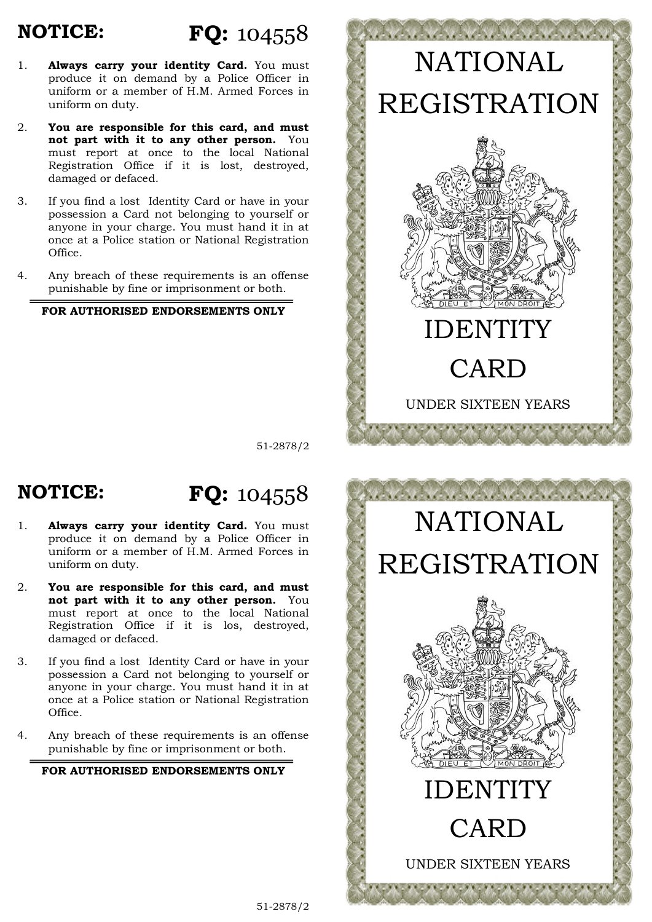## **NOTICE:**

# **FQ:** 104558

- 1. **Always carry your identity Card.** You must produce it on demand by a Police Officer in uniform or a member of H.M. Armed Forces in uniform on duty.
- 2. **You are responsible for this card, and must not part with it to any other person.** You must report at once to the local National Registration Office if it is lost, destroyed, damaged or defaced.
- 3. If you find a lost Identity Card or have in your possession a Card not belonging to yourself or anyone in your charge. You must hand it in at once at a Police station or National Registration Office.
- 4. Any breach of these requirements is an offense punishable by fine or imprisonment or both.

#### **FOR AUTHORISED ENDORSEMENTS ONLY**



51-2878/2

#### **NOTICE: FQ:** 104558

- 1. **Always carry your identity Card.** You must produce it on demand by a Police Officer in uniform or a member of H.M. Armed Forces in uniform on duty.
- 2. **You are responsible for this card, and must not part with it to any other person.** You must report at once to the local National Registration Office if it is los, destroyed, damaged or defaced.
- 3. If you find a lost Identity Card or have in your possession a Card not belonging to yourself or anyone in your charge. You must hand it in at once at a Police station or National Registration Office.
- 4. Any breach of these requirements is an offense punishable by fine or imprisonment or both.

#### **FOR AUTHORISED ENDORSEMENTS ONLY**